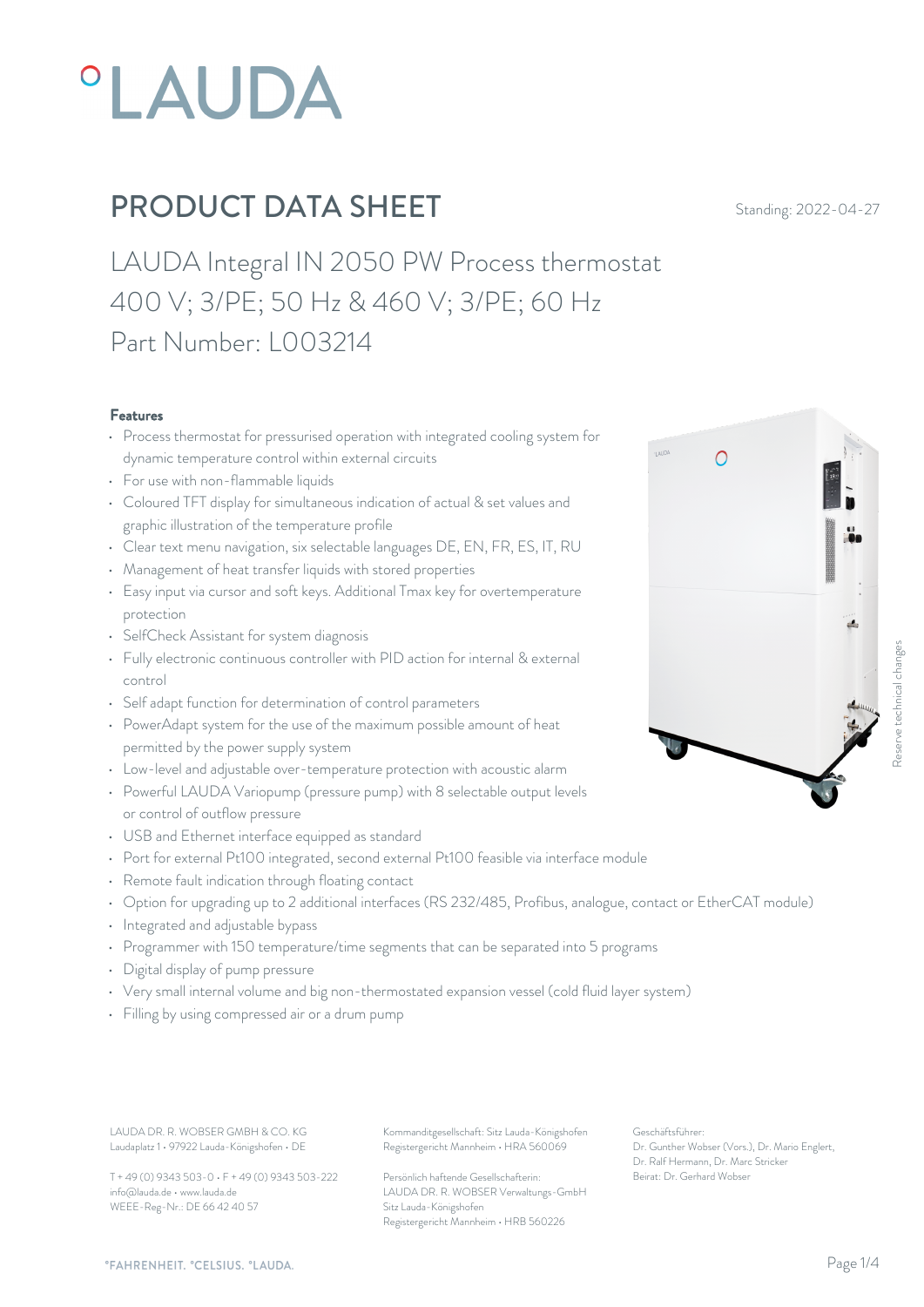

LAUDA Integral IN 2050 PW Process thermostat 400 V; 3/PE; 50 Hz & 460 V; 3/PE; 60 Hz Part Number: L003214

#### Features

- Process thermostat for pressurised operation with integrated cooling system for dynamic temperature control within external circuits
- For use with non-flammable liquids
- Coloured TFT display for simultaneous indication of actual & set values and graphic illustration of the temperature profile
- Clear text menu navigation, six selectable languages DE, EN, FR, ES, IT, RU
- Management of heat transfer liquids with stored properties
- Easy input via cursor and soft keys. Additional Tmax key for overtemperature protection
- SelfCheck Assistant for system diagnosis
- Fully electronic continuous controller with PID action for internal & external control
- Self adapt function for determination of control parameters
- PowerAdapt system for the use of the maximum possible amount of heat permitted by the power supply system
- Low-level and adjustable over-temperature protection with acoustic alarm
- Powerful LAUDA Variopump (pressure pump) with 8 selectable output levels or control of outflow pressure
- USB and Ethernet interface equipped as standard
- Port for external Pt100 integrated, second external Pt100 feasible via interface module
- Remote fault indication through floating contact
- Option for upgrading up to 2 additional interfaces (RS 232/485, Profibus, analogue, contact or EtherCAT module)
- Integrated and adjustable bypass
- Programmer with 150 temperature/time segments that can be separated into 5 programs
- Digital display of pump pressure
- Very small internal volume and big non-thermostated expansion vessel (cold fluid layer system)
- Filling by using compressed air or a drum pump

Laudaplatz 1 • 97922 Lauda-Königshofen • DE

T + 49 (0) 9343 503-0 • F + 49 (0) 9343 503-222 info@lauda.de • www.lauda.de WEEE-Reg-Nr.: DE 66 42 40 57

LAUDA DR. R. WOBSER GMBH & CO. KG Kommanditgesellschaft: Sitz Lauda-Königshofen Geschäftsführer: Registergericht Mannheim • HRA 560069

> Persönlich haftende Gesellschafterin: Beirat: Dr. Gerhard Wobs LAUDA DR. R. WOBSER Verwaltungs-GmbH Sitz Lauda-Königshofen Registergericht Mannheim • HRB 560226

Geschäftsführer: Dr. Gunther Wobser (Vors.), Dr. Mario Englert, Dr. Ralf Hermann, Dr. Marc Stricker Beirat: Dr. Gerhard Wobser Reserve technical changes



 $\bigcap$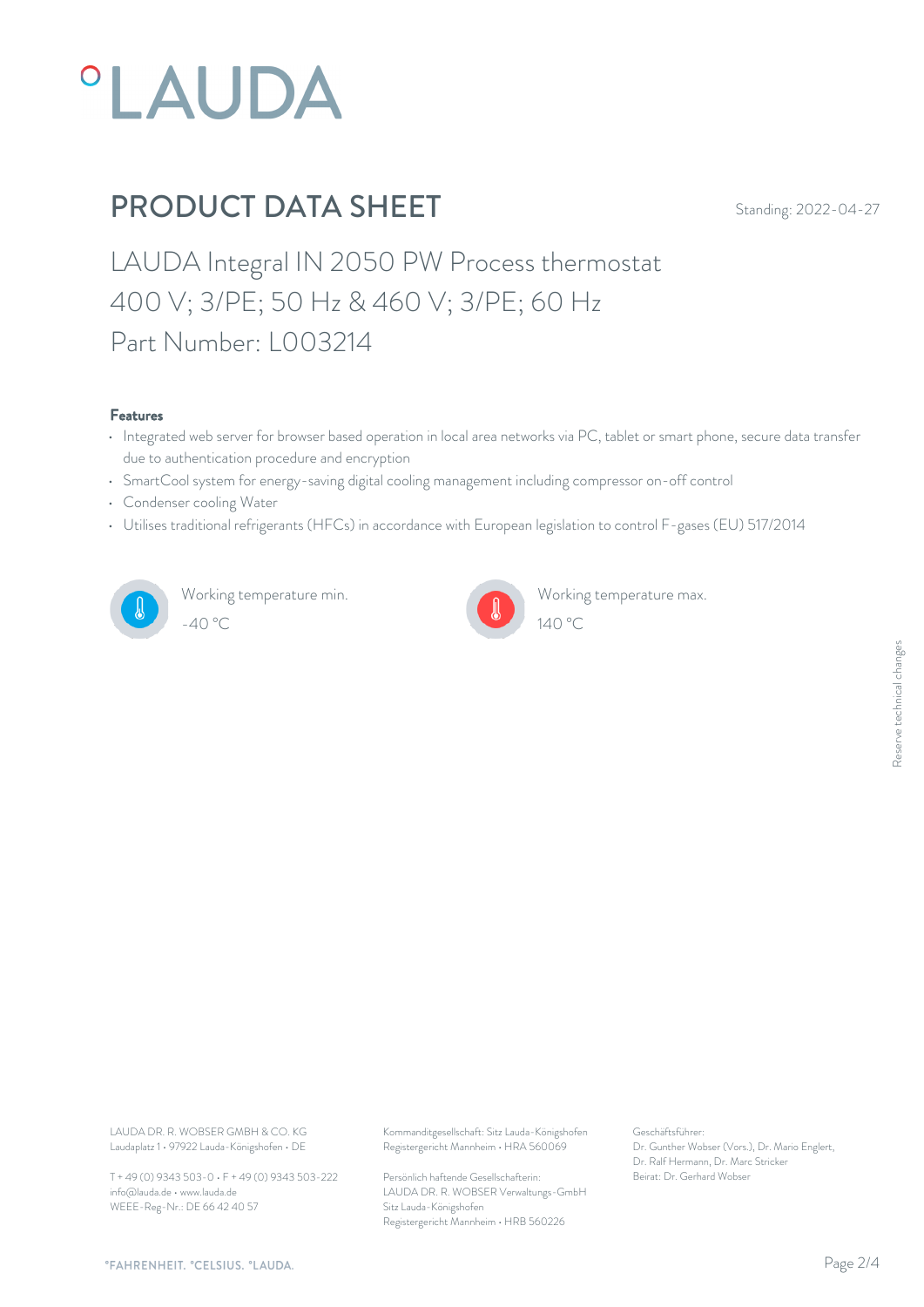

LAUDA Integral IN 2050 PW Process thermostat 400 V; 3/PE; 50 Hz & 460 V; 3/PE; 60 Hz Part Number: L003214

#### Features

- Integrated web server for browser based operation in local area networks via PC, tablet or smart phone, secure data transfer due to authentication procedure and encryption
- SmartCool system for energy-saving digital cooling management including compressor on-off control
- Condenser cooling Water
- Utilises traditional refrigerants (HFCs) in accordance with European legislation to control F-gases (EU) 517/2014



Working temperature min. -40 °C 140 °C



Working temperature max.

Laudaplatz 1 • 97922 Lauda-Königshofen • DE

T + 49 (0) 9343 503-0 • F + 49 (0) 9343 503-222 info@lauda.de • www.lauda.de WEEE-Reg-Nr.: DE 66 42 40 57

LAUDA DR. R. WOBSER GMBH & CO. KG Kommanditgesellschaft: Sitz Lauda-Königshofen Geschäftsführer: Registergericht Mannheim • HRA 560069

> Persönlich haftende Gesellschafterin: Beirat: Dr. Gerhard Wobse LAUDA DR. R. WOBSER Verwaltungs-GmbH Sitz Lauda-Königshofen Registergericht Mannheim • HRB 560226

Geschäftsführer: Dr. Gunther Wobser (Vors.), Dr. Mario Englert, Dr. Ralf Hermann, Dr. Marc Stricker Beschäftsführer:<br>Dr. Gunther Wobser (Vors.), Dr. Mario Englert,<br>Dr. Ralf Hermann, Dr. Marc Stricker<br>Beirat: Dr. Gerhard Wobser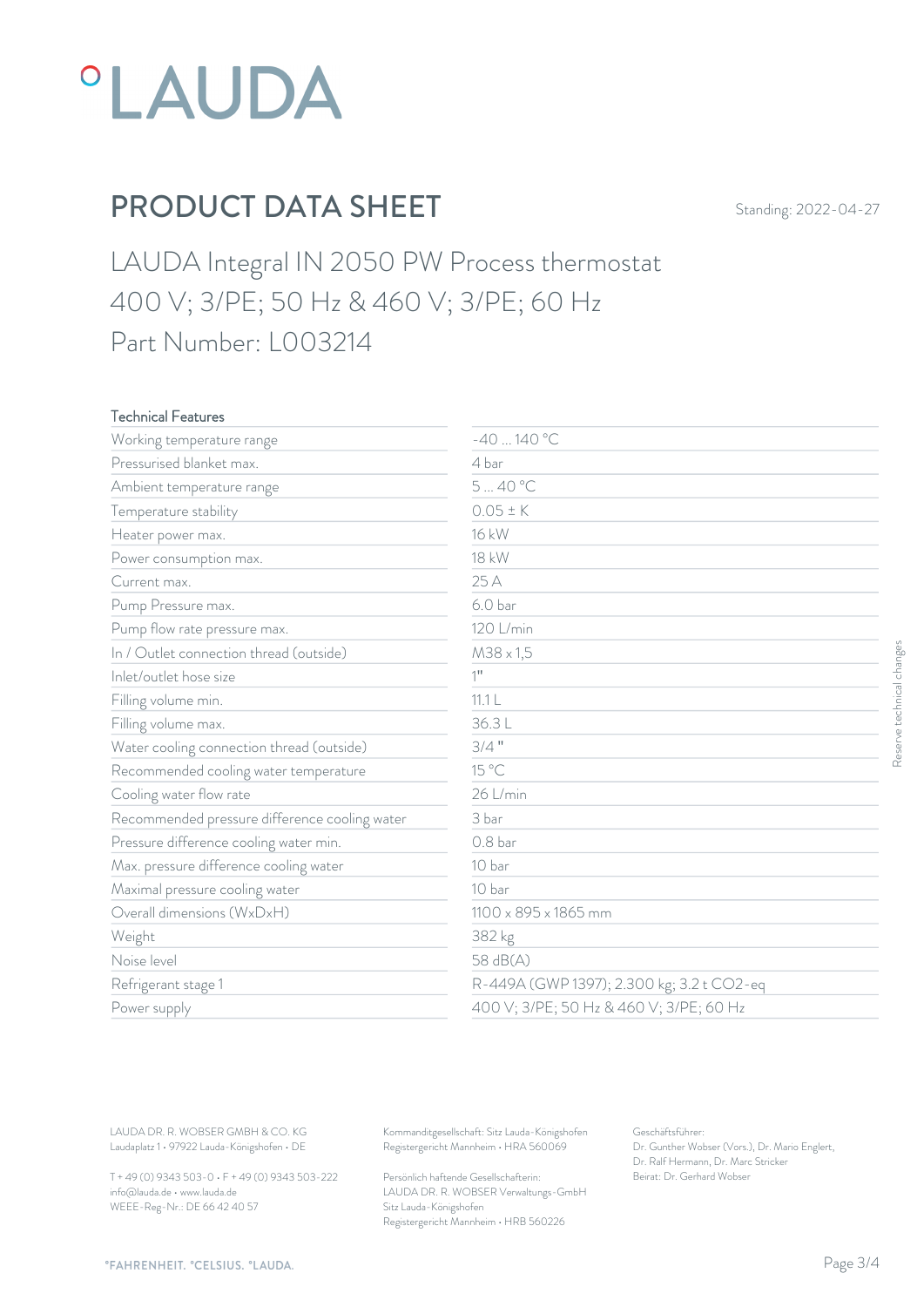

LAUDA Integral IN 2050 PW Process thermostat 400 V; 3/PE; 50 Hz & 460 V; 3/PE; 60 Hz Part Number: L003214

### Technical Features

| Working temperature range                     | $-40140 °C$          |                                           |
|-----------------------------------------------|----------------------|-------------------------------------------|
| Pressurised blanket max.                      | 4 bar                |                                           |
| Ambient temperature range                     | 540°C                |                                           |
| Temperature stability                         | $0.05 \pm K$         |                                           |
| Heater power max.                             | 16 kW                |                                           |
| Power consumption max.                        | <b>18 kW</b>         |                                           |
| Current max.                                  | 25 A                 |                                           |
| Pump Pressure max.                            | 6.0 <sub>bar</sub>   |                                           |
| Pump flow rate pressure max.                  | 120 L/min            |                                           |
| In / Outlet connection thread (outside)       | $M38 \times 1,5$     |                                           |
| Inlet/outlet hose size                        | $1$ <sup>11</sup>    |                                           |
| Filling volume min.                           | 11.1 <sub>L</sub>    |                                           |
| Filling volume max.                           | 36.3L                |                                           |
| Water cooling connection thread (outside)     | $3/4$ "              |                                           |
| Recommended cooling water temperature         | 15 °C                |                                           |
| Cooling water flow rate                       | 26 L/min             |                                           |
| Recommended pressure difference cooling water | 3 bar                |                                           |
| Pressure difference cooling water min.        | 0.8 <sub>bar</sub>   |                                           |
| Max. pressure difference cooling water        | 10 bar               |                                           |
| Maximal pressure cooling water                | 10 bar               |                                           |
| Overall dimensions (WxDxH)                    | 1100 x 895 x 1865 mm |                                           |
| Weight                                        | 382 kg               |                                           |
| Noise level                                   | 58 dB(A)             |                                           |
| Refrigerant stage 1                           |                      | R-449A (GWP 1397); 2.300 kg; 3.2 t CO2-eq |
| Power supply                                  |                      | 400 V; 3/PE; 50 Hz & 460 V; 3/PE; 60 Hz   |

T + 49 (0) 9343 503-0 • F + 49 (0) 9343 503-222 info@lauda.de • www.lauda.de WEEE-Reg-Nr.: DE 66 42 40 57

Persönlich haftende Gesellschafterin: Beirat: Dr. Gerhard Wobse LAUDA DR. R. WOBSER Verwaltungs-GmbH Sitz Lauda-Königshofen Registergericht Mannheim • HRB 560226